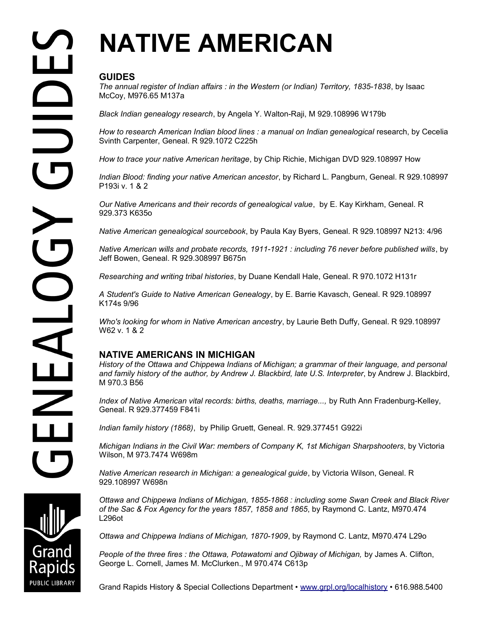# **NATIVE AMERICAN**

# **GUIDES**

*The annual register of Indian affairs : in the Western (or Indian) Territory, 1835-1838*, by Isaac McCoy, M976.65 M137a

*Black Indian genealogy research*, by Angela Y. Walton-Raji, M 929.108996 W179b

*How to research American Indian blood lines : a manual on Indian genealogical research, by Cecelia* Svinth Carpenter, Geneal. R 929.1072 C225h

*How to trace your native American heritage*, by Chip Richie, Michigan DVD 929.108997 How

*Indian Blood: finding your native American ancestor*, by Richard L. Pangburn, Geneal. R 929.108997 P193i v. 1 & 2

*Our Native Americans and their records of genealogical value*, by E. Kay Kirkham, Geneal. R 929.373 K635o

*Native American genealogical sourcebook*, by Paula Kay Byers, Geneal. R 929.108997 N213: 4/96

*Native American wills and probate records, 1911-1921 : including 76 never before published wills*, by Jeff Bowen, Geneal. R 929.308997 B675n

*Researching and writing tribal histories*, by Duane Kendall Hale, Geneal. R 970.1072 H131r

*A Student's Guide to Native American Genealogy*, by E. Barrie Kavasch, Geneal. R 929.108997 K174s 9/96

*Who's looking for whom in Native American ancestry*, by Laurie Beth Duffy, Geneal. R 929.108997 W62 v. 1 & 2

## **NATIVE AMERICANS IN MICHIGAN**

*History of the Ottawa and Chippewa Indians of Michigan; a grammar of their language, and personal and family history of the author, by Andrew J. Blackbird, late U.S. Interpreter*, by Andrew J. Blackbird, M 970.3 B56

*Index of Native American vital records: births, deaths, marriage...,* by Ruth Ann Fradenburg-Kelley, Geneal. R 929.377459 F841i

*Indian family history (1868)*, by Philip Gruett, Geneal. R. 929.377451 G922i

*Michigan Indians in the Civil War: members of Company K, 1st Michigan Sharpshooters*, by Victoria Wilson, M 973.7474 W698m

*Native American research in Michigan: a genealogical guide*, by Victoria Wilson, Geneal. R 929.108997 W698n

*Ottawa and Chippewa Indians of Michigan, 1855-1868 : including some Swan Creek and Black River of the Sac & Fox Agency for the years 1857, 1858 and 1865*, by Raymond C. Lantz, M970.474 L296ot

*Ottawa and Chippewa Indians of Michigan, 1870-1909*, by Raymond C. Lantz, M970.474 L29o

*People of the three fires : the Ottawa, Potawatomi and Ojibway of Michigan,* by James A. Clifton, George L. Cornell, James M. McClurken., M 970.474 C613p

Grand Rapids History & Special Collections Department • [www.grpl.org/localhistory](http://www.grpl.org/localhistory) • 616.988.5400